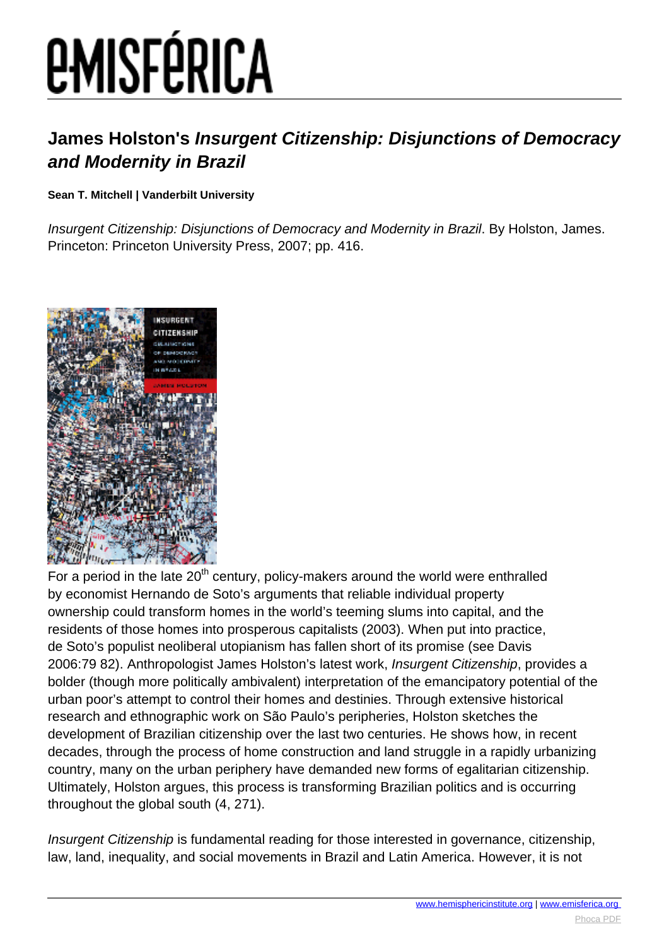# *EMISFÉRICA*

### **James Holston's Insurgent Citizenship: Disjunctions of Democracy and Modernity in Brazil**

#### **Sean T. Mitchell | Vanderbilt University**

Insurgent Citizenship: Disjunctions of Democracy and Modernity in Brazil. By Holston, James. Princeton: Princeton University Press, 2007; pp. 416.



For a period in the late  $20<sup>th</sup>$  century, policy-makers around the world were enthralled by economist Hernando de Soto's arguments that reliable individual property ownership could transform homes in the world's teeming slums into capital, and the residents of those homes into prosperous capitalists (2003). When put into practice, de Soto's populist neoliberal utopianism has fallen short of its promise (see Davis 2006:79 82). Anthropologist James Holston's latest work, Insurgent Citizenship, provides a bolder (though more politically ambivalent) interpretation of the emancipatory potential of the urban poor's attempt to control their homes and destinies. Through extensive historical research and ethnographic work on São Paulo's peripheries, Holston sketches the development of Brazilian citizenship over the last two centuries. He shows how, in recent decades, through the process of home construction and land struggle in a rapidly urbanizing country, many on the urban periphery have demanded new forms of egalitarian citizenship. Ultimately, Holston argues, this process is transforming Brazilian politics and is occurring throughout the global south (4, 271).

Insurgent Citizenship is fundamental reading for those interested in governance, citizenship, law, land, inequality, and social movements in Brazil and Latin America. However, it is not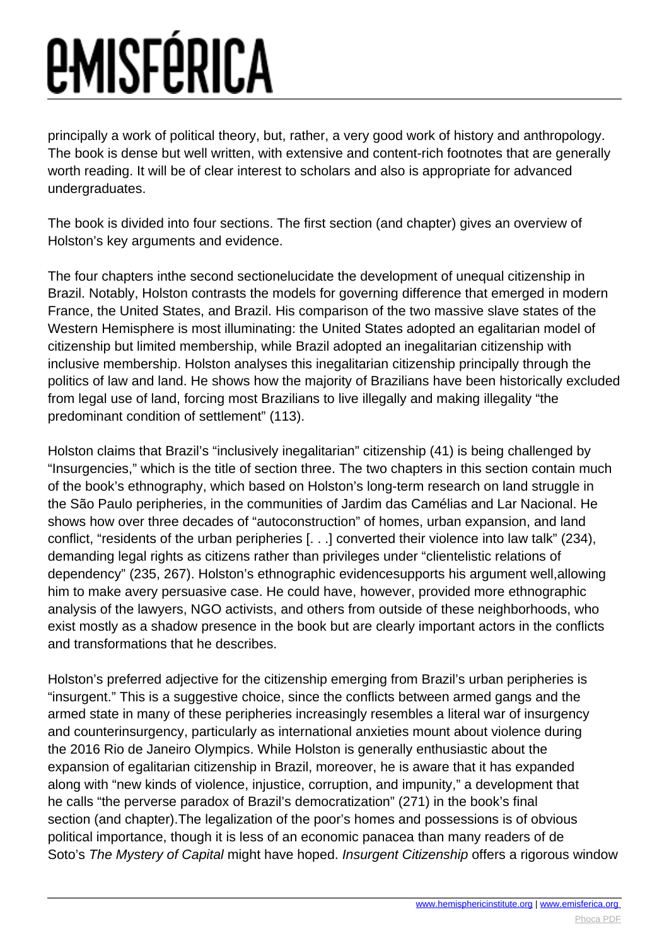## *<u>EMISFÉRICA</u>*

principally a work of political theory, but, rather, a very good work of history and anthropology. The book is dense but well written, with extensive and content-rich footnotes that are generally worth reading. It will be of clear interest to scholars and also is appropriate for advanced undergraduates.

The book is divided into four sections. The first section (and chapter) gives an overview of Holston's key arguments and evidence.

The four chapters inthe second sectionelucidate the development of unequal citizenship in Brazil. Notably, Holston contrasts the models for governing difference that emerged in modern France, the United States, and Brazil. His comparison of the two massive slave states of the Western Hemisphere is most illuminating: the United States adopted an egalitarian model of citizenship but limited membership, while Brazil adopted an inegalitarian citizenship with inclusive membership. Holston analyses this inegalitarian citizenship principally through the politics of law and land. He shows how the majority of Brazilians have been historically excluded from legal use of land, forcing most Brazilians to live illegally and making illegality "the predominant condition of settlement" (113).

Holston claims that Brazil's "inclusively inegalitarian" citizenship (41) is being challenged by "Insurgencies," which is the title of section three. The two chapters in this section contain much of the book's ethnography, which based on Holston's long-term research on land struggle in the São Paulo peripheries, in the communities of Jardim das Camélias and Lar Nacional. He shows how over three decades of "autoconstruction" of homes, urban expansion, and land conflict, "residents of the urban peripheries [. . .] converted their violence into law talk" (234), demanding legal rights as citizens rather than privileges under "clientelistic relations of dependency" (235, 267). Holston's ethnographic evidencesupports his argument well,allowing him to make avery persuasive case. He could have, however, provided more ethnographic analysis of the lawyers, NGO activists, and others from outside of these neighborhoods, who exist mostly as a shadow presence in the book but are clearly important actors in the conflicts and transformations that he describes.

Holston's preferred adjective for the citizenship emerging from Brazil's urban peripheries is "insurgent." This is a suggestive choice, since the conflicts between armed gangs and the armed state in many of these peripheries increasingly resembles a literal war of insurgency and counterinsurgency, particularly as international anxieties mount about violence during the 2016 Rio de Janeiro Olympics. While Holston is generally enthusiastic about the expansion of egalitarian citizenship in Brazil, moreover, he is aware that it has expanded along with "new kinds of violence, injustice, corruption, and impunity," a development that he calls "the perverse paradox of Brazil's democratization" (271) in the book's final section (and chapter).The legalization of the poor's homes and possessions is of obvious political importance, though it is less of an economic panacea than many readers of de Soto's The Mystery of Capital might have hoped. Insurgent Citizenship offers a rigorous window